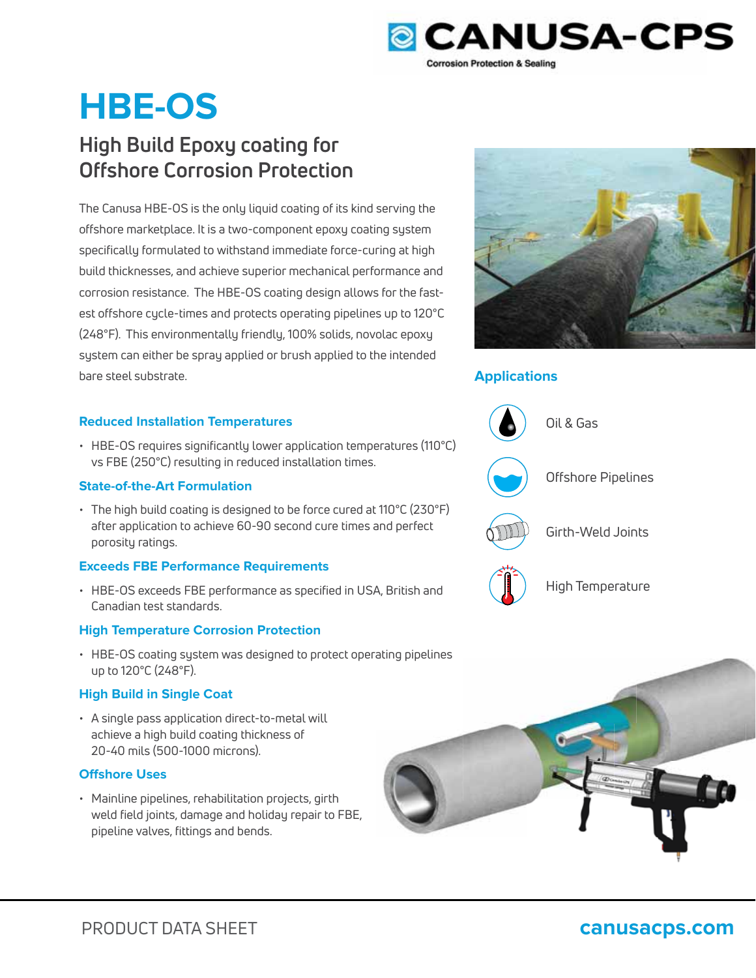

# **HBE-OS**

## **High Build Epoxy coating for Offshore Corrosion Protection**

The Canusa HBE-OS is the only liquid coating of its kind serving the offshore marketplace. It is a two-component epoxy coating system specifically formulated to withstand immediate force-curing at high build thicknesses, and achieve superior mechanical performance and corrosion resistance. The HBE-OS coating design allows for the fastest offshore cycle-times and protects operating pipelines up to 120°C (248°F). This environmentally friendly, 100% solids, novolac epoxy system can either be spray applied or brush applied to the intended bare steel substrate.

#### **Reduced Installation Temperatures**

• HBE-OS requires significantly lower application temperatures (110°C) vs FBE (250°C) resulting in reduced installation times.

#### **State-of-the-Art Formulation**

• The high build coating is designed to be force cured at 110°C (230°F) after application to achieve 60-90 second cure times and perfect porosity ratings.

#### **Exceeds FBE Performance Requirements**

• HBE-OS exceeds FBE performance as specified in USA, British and Canadian test standards.

#### **High Temperature Corrosion Protection**

• HBE-OS coating system was designed to protect operating pipelines up to 120°C (248°F).

#### **High Build in Single Coat**

• A single pass application direct-to-metal will achieve a high build coating thickness of 20-40 mils (500-1000 microns).

#### **Offshore Uses**

• Mainline pipelines, rehabilitation projects, girth weld field joints, damage and holiday repair to FBE, pipeline valves, fittings and bends.



### **Applications**